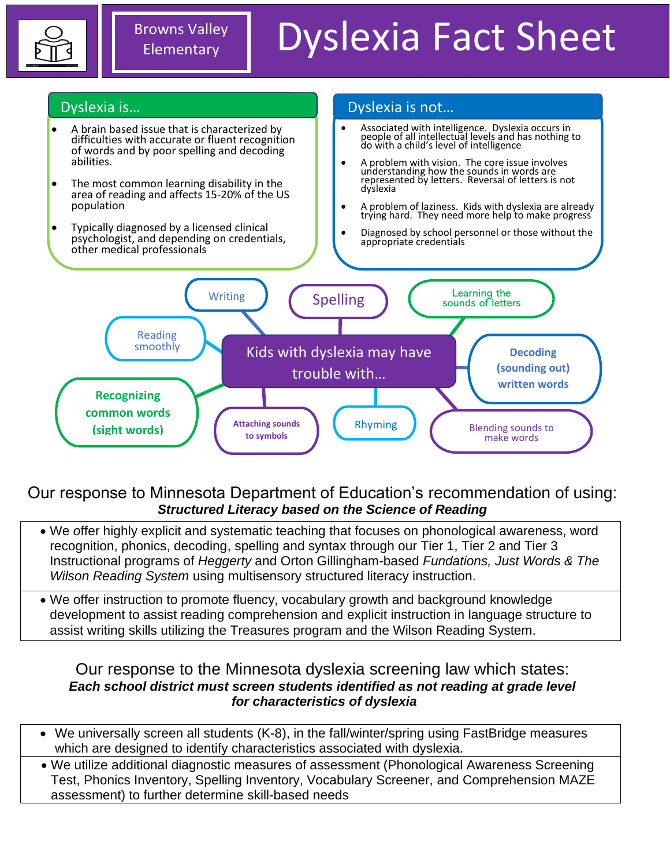

# Dyslexia Fact Sheet



## Our response to Minnesota Department of Education's recommendation of using: *Structured Literacy based on the Science of Reading*

- We *o*ffer highly explicit and systematic teaching that focuses on phonological awareness, word recognition, phonics, decoding, spelling and syntax through our Tier 1, Tier 2 and Tier 3 Instructional programs of *Heggerty* and Orton Gillingham-based *Fundations, Just Words & The Wilson Reading System* using multisensory structured literacy instruction.
- We offer instruction to promote fluency, vocabulary growth and background knowledge development to assist reading comprehension and explicit instruction in language structure to assist writing skills utilizing the Treasures program and the Wilson Reading System.

### Our response to the Minnesota dyslexia screening law which states: *Each school district must screen students identified as not reading at grade level for characteristics of dyslexia*

- We universally screen all students (K-8), in the fall/winter/spring using FastBridge measures which are designed to identify characteristics associated with dyslexia.
- We utilize additional diagnostic measures of assessment (Phonological Awareness Screening Test, Phonics Inventory, Spelling Inventory, Vocabulary Screener, and Comprehension MAZE assessment) to further determine skill-based needs